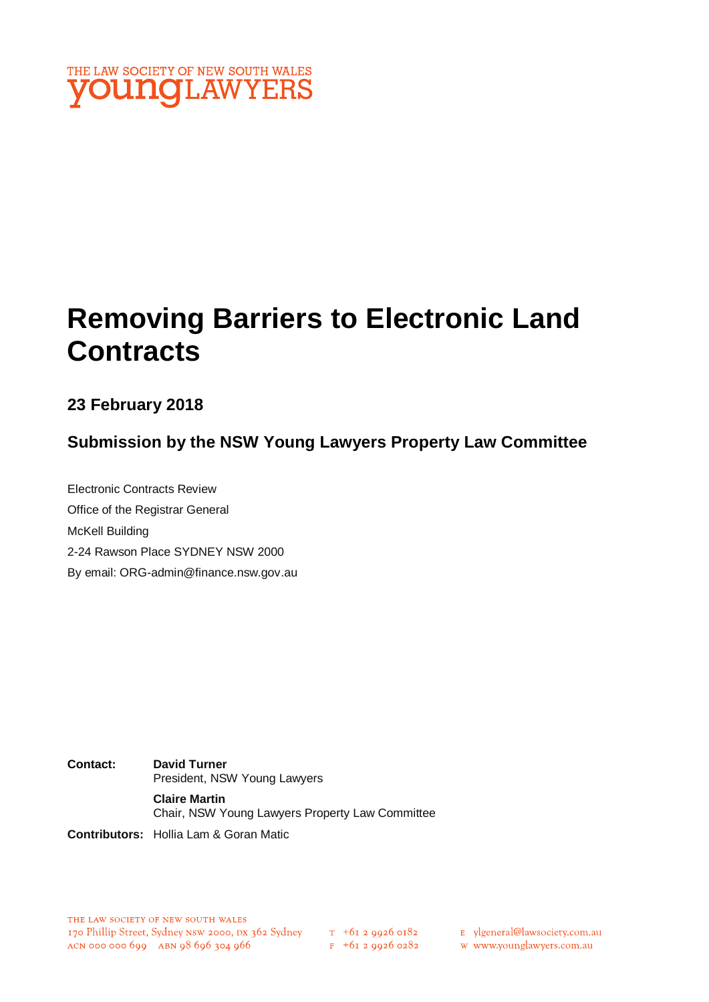

# **Removing Barriers to Electronic Land Contracts**

**23 February 2018**

**Submission by the NSW Young Lawyers Property Law Committee**

Electronic Contracts Review Office of the Registrar General McKell Building 2-24 Rawson Place SYDNEY NSW 2000 By email: ORG-admin@finance.nsw.gov.au

**Contact: David Turner** President, NSW Young Lawyers **Claire Martin** Chair, NSW Young Lawyers Property Law Committee

**Contributors:** Hollia Lam & Goran Matic

 $F + 6I$  2 9926 0282

E ylgeneral@lawsociety.com.au

w www.younglawyers.com.au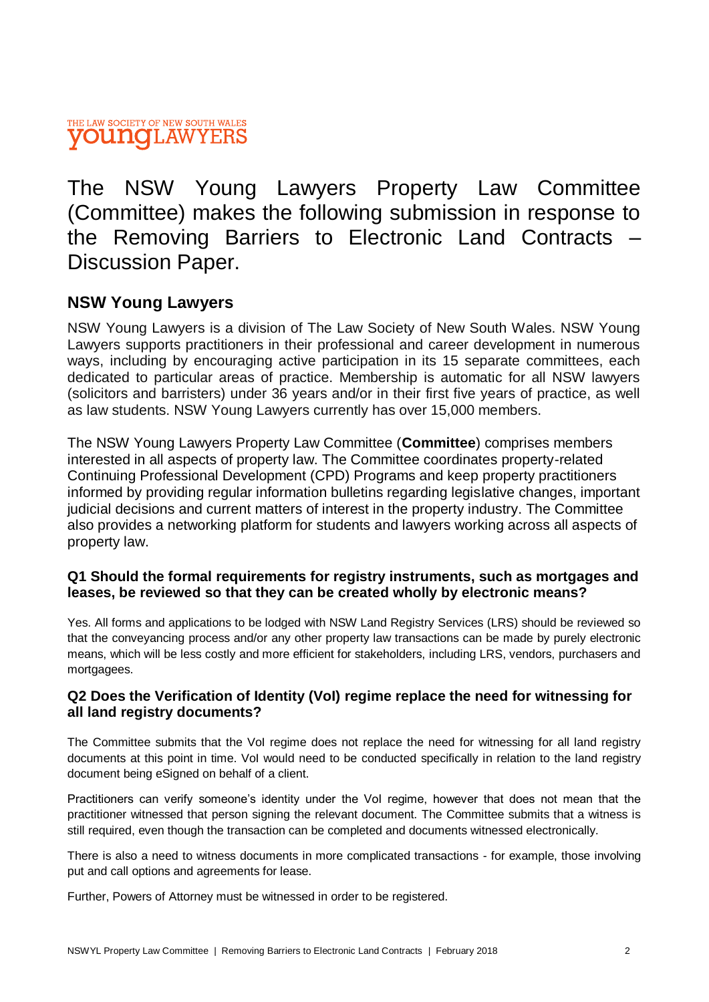The NSW Young Lawyers Property Law Committee (Committee) makes the following submission in response to the Removing Barriers to Electronic Land Contracts – Discussion Paper.

## **NSW Young Lawyers**

NSW Young Lawyers is a division of The Law Society of New South Wales. NSW Young Lawyers supports practitioners in their professional and career development in numerous ways, including by encouraging active participation in its 15 separate committees, each dedicated to particular areas of practice. Membership is automatic for all NSW lawyers (solicitors and barristers) under 36 years and/or in their first five years of practice, as well as law students. NSW Young Lawyers currently has over 15,000 members.

The NSW Young Lawyers Property Law Committee (**Committee**) comprises members interested in all aspects of property law. The Committee coordinates property-related Continuing Professional Development (CPD) Programs and keep property practitioners informed by providing regular information bulletins regarding legislative changes, important judicial decisions and current matters of interest in the property industry. The Committee also provides a networking platform for students and lawyers working across all aspects of property law.

### **Q1 Should the formal requirements for registry instruments, such as mortgages and leases, be reviewed so that they can be created wholly by electronic means?**

Yes. All forms and applications to be lodged with NSW Land Registry Services (LRS) should be reviewed so that the conveyancing process and/or any other property law transactions can be made by purely electronic means, which will be less costly and more efficient for stakeholders, including LRS, vendors, purchasers and mortgagees.

## **Q2 Does the Verification of Identity (VoI) regime replace the need for witnessing for all land registry documents?**

The Committee submits that the VoI regime does not replace the need for witnessing for all land registry documents at this point in time. VoI would need to be conducted specifically in relation to the land registry document being eSigned on behalf of a client.

Practitioners can verify someone's identity under the VoI regime, however that does not mean that the practitioner witnessed that person signing the relevant document. The Committee submits that a witness is still required, even though the transaction can be completed and documents witnessed electronically.

There is also a need to witness documents in more complicated transactions - for example, those involving put and call options and agreements for lease.

Further, Powers of Attorney must be witnessed in order to be registered.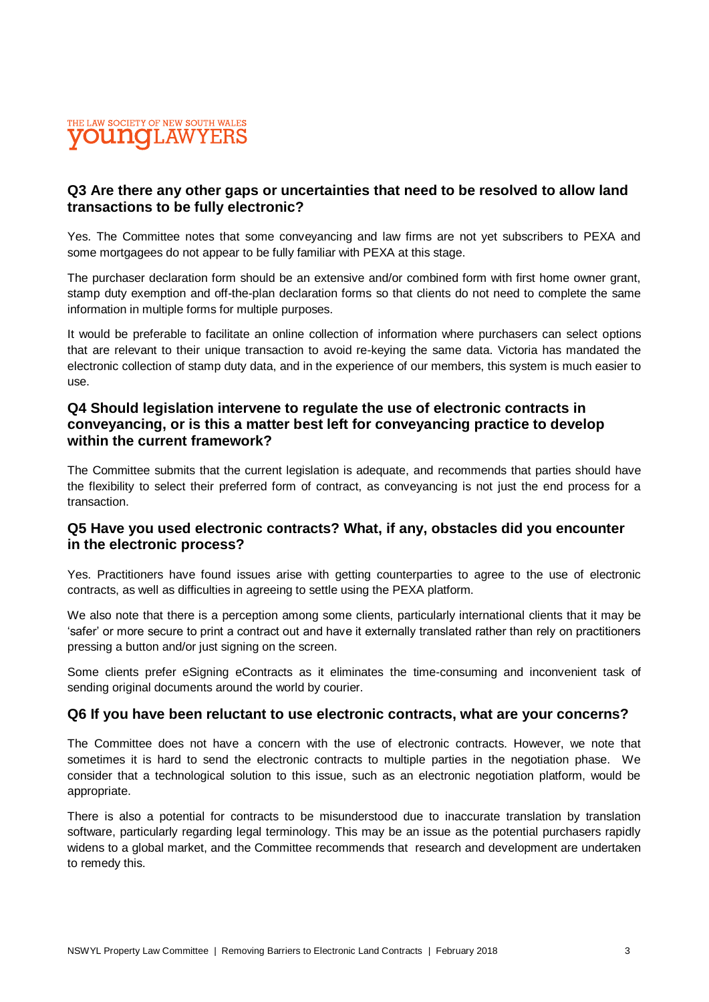

#### **Q3 Are there any other gaps or uncertainties that need to be resolved to allow land transactions to be fully electronic?**

Yes. The Committee notes that some conveyancing and law firms are not yet subscribers to PEXA and some mortgagees do not appear to be fully familiar with PEXA at this stage.

The purchaser declaration form should be an extensive and/or combined form with first home owner grant, stamp duty exemption and off-the-plan declaration forms so that clients do not need to complete the same information in multiple forms for multiple purposes.

It would be preferable to facilitate an online collection of information where purchasers can select options that are relevant to their unique transaction to avoid re-keying the same data. Victoria has mandated the electronic collection of stamp duty data, and in the experience of our members, this system is much easier to use.

#### **Q4 Should legislation intervene to regulate the use of electronic contracts in conveyancing, or is this a matter best left for conveyancing practice to develop within the current framework?**

The Committee submits that the current legislation is adequate, and recommends that parties should have the flexibility to select their preferred form of contract, as conveyancing is not just the end process for a transaction.

#### **Q5 Have you used electronic contracts? What, if any, obstacles did you encounter in the electronic process?**

Yes. Practitioners have found issues arise with getting counterparties to agree to the use of electronic contracts, as well as difficulties in agreeing to settle using the PEXA platform.

We also note that there is a perception among some clients, particularly international clients that it may be 'safer' or more secure to print a contract out and have it externally translated rather than rely on practitioners pressing a button and/or just signing on the screen.

Some clients prefer eSigning eContracts as it eliminates the time-consuming and inconvenient task of sending original documents around the world by courier.

#### **Q6 If you have been reluctant to use electronic contracts, what are your concerns?**

The Committee does not have a concern with the use of electronic contracts. However, we note that sometimes it is hard to send the electronic contracts to multiple parties in the negotiation phase. We consider that a technological solution to this issue, such as an electronic negotiation platform, would be appropriate.

There is also a potential for contracts to be misunderstood due to inaccurate translation by translation software, particularly regarding legal terminology. This may be an issue as the potential purchasers rapidly widens to a global market, and the Committee recommends that research and development are undertaken to remedy this.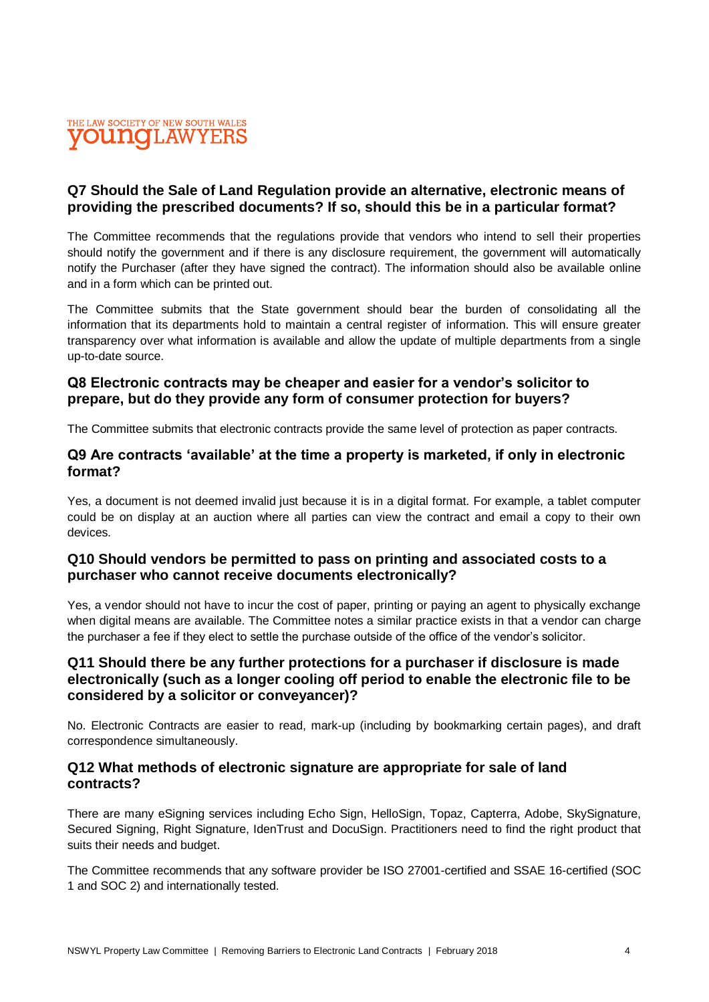

#### **Q7 Should the Sale of Land Regulation provide an alternative, electronic means of providing the prescribed documents? If so, should this be in a particular format?**

The Committee recommends that the regulations provide that vendors who intend to sell their properties should notify the government and if there is any disclosure requirement, the government will automatically notify the Purchaser (after they have signed the contract). The information should also be available online and in a form which can be printed out.

The Committee submits that the State government should bear the burden of consolidating all the information that its departments hold to maintain a central register of information. This will ensure greater transparency over what information is available and allow the update of multiple departments from a single up-to-date source.

#### **Q8 Electronic contracts may be cheaper and easier for a vendor's solicitor to prepare, but do they provide any form of consumer protection for buyers?**

The Committee submits that electronic contracts provide the same level of protection as paper contracts.

#### **Q9 Are contracts 'available' at the time a property is marketed, if only in electronic format?**

Yes, a document is not deemed invalid just because it is in a digital format. For example, a tablet computer could be on display at an auction where all parties can view the contract and email a copy to their own devices.

#### **Q10 Should vendors be permitted to pass on printing and associated costs to a purchaser who cannot receive documents electronically?**

Yes, a vendor should not have to incur the cost of paper, printing or paying an agent to physically exchange when digital means are available. The Committee notes a similar practice exists in that a vendor can charge the purchaser a fee if they elect to settle the purchase outside of the office of the vendor's solicitor.

### **Q11 Should there be any further protections for a purchaser if disclosure is made electronically (such as a longer cooling off period to enable the electronic file to be considered by a solicitor or conveyancer)?**

No. Electronic Contracts are easier to read, mark-up (including by bookmarking certain pages), and draft correspondence simultaneously.

#### **Q12 What methods of electronic signature are appropriate for sale of land contracts?**

There are many eSigning services including Echo Sign, HelloSign, Topaz, Capterra, Adobe, SkySignature, Secured Signing, Right Signature, IdenTrust and DocuSign. Practitioners need to find the right product that suits their needs and budget.

The Committee recommends that any software provider be ISO 27001-certified and SSAE 16-certified (SOC 1 and SOC 2) and internationally tested.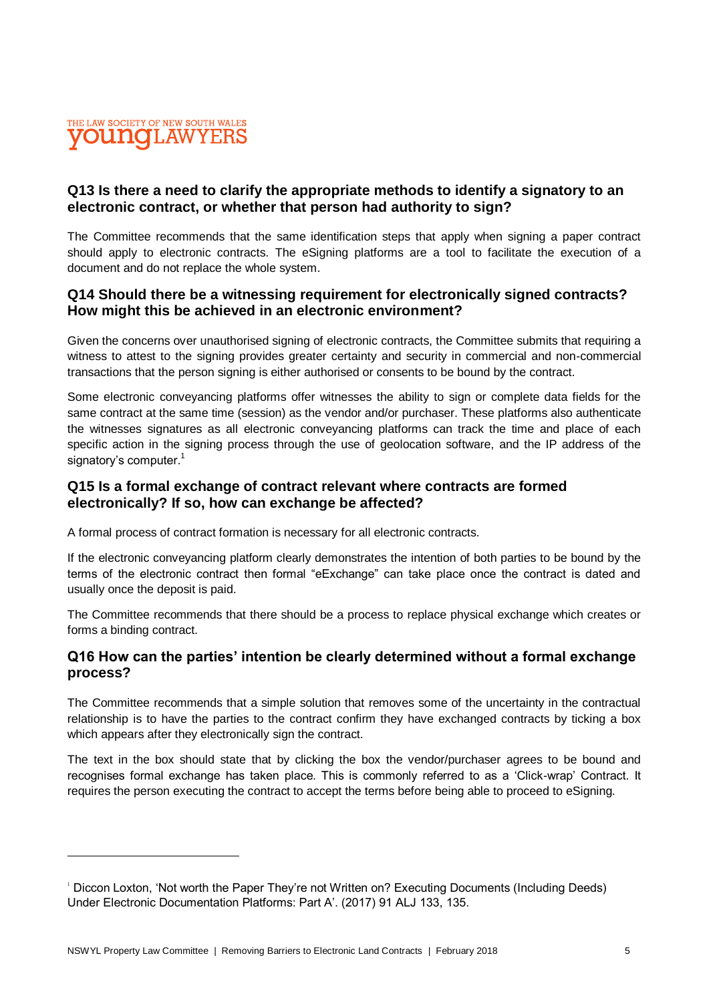

### **Q13 Is there a need to clarify the appropriate methods to identify a signatory to an electronic contract, or whether that person had authority to sign?**

The Committee recommends that the same identification steps that apply when signing a paper contract should apply to electronic contracts. The eSigning platforms are a tool to facilitate the execution of a document and do not replace the whole system.

#### **Q14 Should there be a witnessing requirement for electronically signed contracts? How might this be achieved in an electronic environment?**

Given the concerns over unauthorised signing of electronic contracts, the Committee submits that requiring a witness to attest to the signing provides greater certainty and security in commercial and non-commercial transactions that the person signing is either authorised or consents to be bound by the contract.

Some electronic conveyancing platforms offer witnesses the ability to sign or complete data fields for the same contract at the same time (session) as the vendor and/or purchaser. These platforms also authenticate the witnesses signatures as all electronic conveyancing platforms can track the time and place of each specific action in the signing process through the use of geolocation software, and the IP address of the signatory's computer.<sup>1</sup>

#### **Q15 Is a formal exchange of contract relevant where contracts are formed electronically? If so, how can exchange be affected?**

A formal process of contract formation is necessary for all electronic contracts.

If the electronic conveyancing platform clearly demonstrates the intention of both parties to be bound by the terms of the electronic contract then formal "eExchange" can take place once the contract is dated and usually once the deposit is paid.

The Committee recommends that there should be a process to replace physical exchange which creates or forms a binding contract.

#### **Q16 How can the parties' intention be clearly determined without a formal exchange process?**

The Committee recommends that a simple solution that removes some of the uncertainty in the contractual relationship is to have the parties to the contract confirm they have exchanged contracts by ticking a box which appears after they electronically sign the contract.

The text in the box should state that by clicking the box the vendor/purchaser agrees to be bound and recognises formal exchange has taken place. This is commonly referred to as a 'Click-wrap' Contract. It requires the person executing the contract to accept the terms before being able to proceed to eSigning.

<sup>1</sup> Diccon Loxton, 'Not worth the Paper They're not Written on? Executing Documents (Including Deeds) Under Electronic Documentation Platforms: Part A'. (2017) 91 ALJ 133, 135.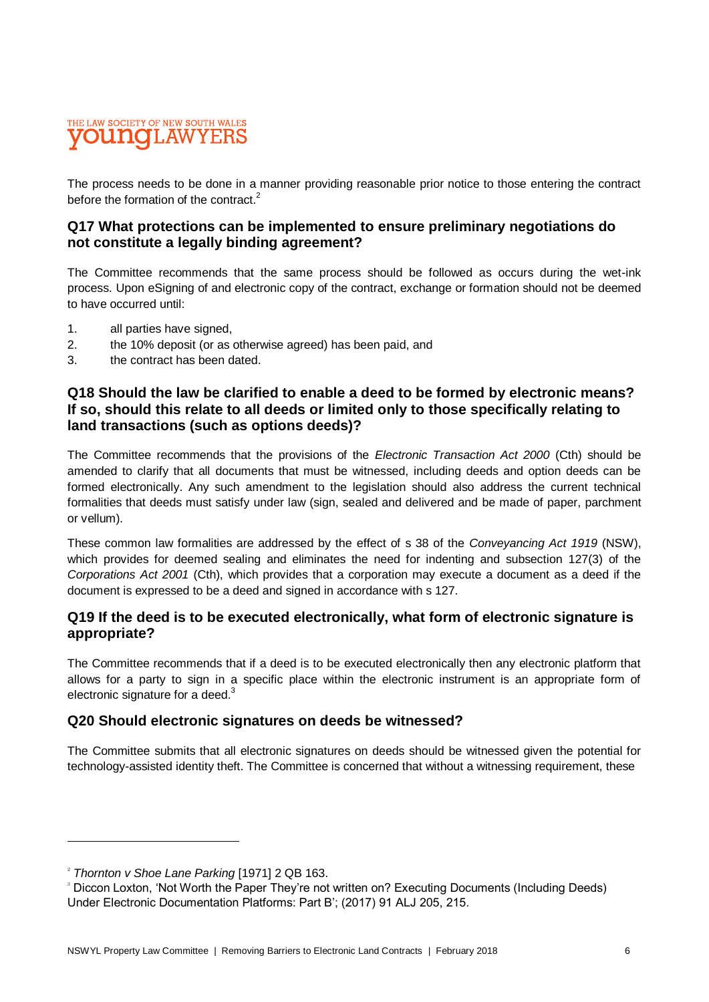#### THE LAW SOCIETY OF NEW SOUTH WALES ouno ILAWYEF

The process needs to be done in a manner providing reasonable prior notice to those entering the contract before the formation of the contract.<sup>2</sup>

#### **Q17 What protections can be implemented to ensure preliminary negotiations do not constitute a legally binding agreement?**

The Committee recommends that the same process should be followed as occurs during the wet-ink process. Upon eSigning of and electronic copy of the contract, exchange or formation should not be deemed to have occurred until:

- 1. all parties have signed,
- 2. the 10% deposit (or as otherwise agreed) has been paid, and
- 3. the contract has been dated.

#### **Q18 Should the law be clarified to enable a deed to be formed by electronic means? If so, should this relate to all deeds or limited only to those specifically relating to land transactions (such as options deeds)?**

The Committee recommends that the provisions of the *Electronic Transaction Act 2000* (Cth) should be amended to clarify that all documents that must be witnessed, including deeds and option deeds can be formed electronically. Any such amendment to the legislation should also address the current technical formalities that deeds must satisfy under law (sign, sealed and delivered and be made of paper, parchment or vellum).

These common law formalities are addressed by the effect of s 38 of the *Conveyancing Act 1919* (NSW), which provides for deemed sealing and eliminates the need for indenting and subsection 127(3) of the *Corporations Act 2001* (Cth), which provides that a corporation may execute a document as a deed if the document is expressed to be a deed and signed in accordance with s 127.

### **Q19 If the deed is to be executed electronically, what form of electronic signature is appropriate?**

The Committee recommends that if a deed is to be executed electronically then any electronic platform that allows for a party to sign in a specific place within the electronic instrument is an appropriate form of electronic signature for a deed. $3$ 

### **Q20 Should electronic signatures on deeds be witnessed?**

The Committee submits that all electronic signatures on deeds should be witnessed given the potential for technology-assisted identity theft. The Committee is concerned that without a witnessing requirement, these

<sup>2</sup> *Thornton v Shoe Lane Parking* [1971] 2 QB 163.

<sup>&</sup>lt;sup>3</sup> Diccon Loxton, 'Not Worth the Paper They're not written on? Executing Documents (Including Deeds) Under Electronic Documentation Platforms: Part B'; (2017) 91 ALJ 205, 215.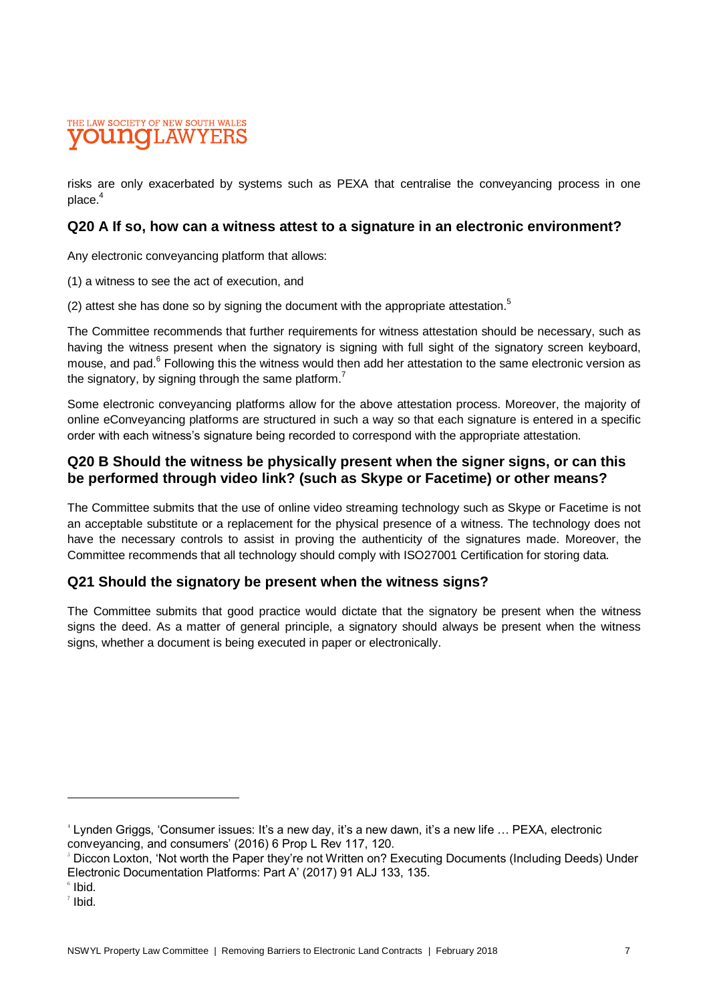#### THE LAW SOCIETY OF NEW SOUTH WALES punto 'LAW

risks are only exacerbated by systems such as PEXA that centralise the conveyancing process in one place.<sup>4</sup>

#### **Q20 A If so, how can a witness attest to a signature in an electronic environment?**

Any electronic conveyancing platform that allows:

- (1) a witness to see the act of execution, and
- (2) attest she has done so by signing the document with the appropriate attestation. $5$

The Committee recommends that further requirements for witness attestation should be necessary, such as having the witness present when the signatory is signing with full sight of the signatory screen keyboard, mouse, and pad.<sup>6</sup> Following this the witness would then add her attestation to the same electronic version as the signatory, by signing through the same platform.<sup>7</sup>

Some electronic conveyancing platforms allow for the above attestation process. Moreover, the majority of online eConveyancing platforms are structured in such a way so that each signature is entered in a specific order with each witness's signature being recorded to correspond with the appropriate attestation.

#### **Q20 B Should the witness be physically present when the signer signs, or can this be performed through video link? (such as Skype or Facetime) or other means?**

The Committee submits that the use of online video streaming technology such as Skype or Facetime is not an acceptable substitute or a replacement for the physical presence of a witness. The technology does not have the necessary controls to assist in proving the authenticity of the signatures made. Moreover, the Committee recommends that all technology should comply with ISO27001 Certification for storing data.

#### **Q21 Should the signatory be present when the witness signs?**

The Committee submits that good practice would dictate that the signatory be present when the witness signs the deed. As a matter of general principle, a signatory should always be present when the witness signs, whether a document is being executed in paper or electronically.

<sup>4</sup> Lynden Griggs, 'Consumer issues: It's a new day, it's a new dawn, it's a new life … PEXA, electronic conveyancing, and consumers' (2016) 6 Prop L Rev 117, 120.

<sup>5</sup> Diccon Loxton, 'Not worth the Paper they're not Written on? Executing Documents (Including Deeds) Under Electronic Documentation Platforms: Part A' (2017) 91 ALJ 133, 135.

 $\degree$  Ibid.

 $^7$  Ibid.